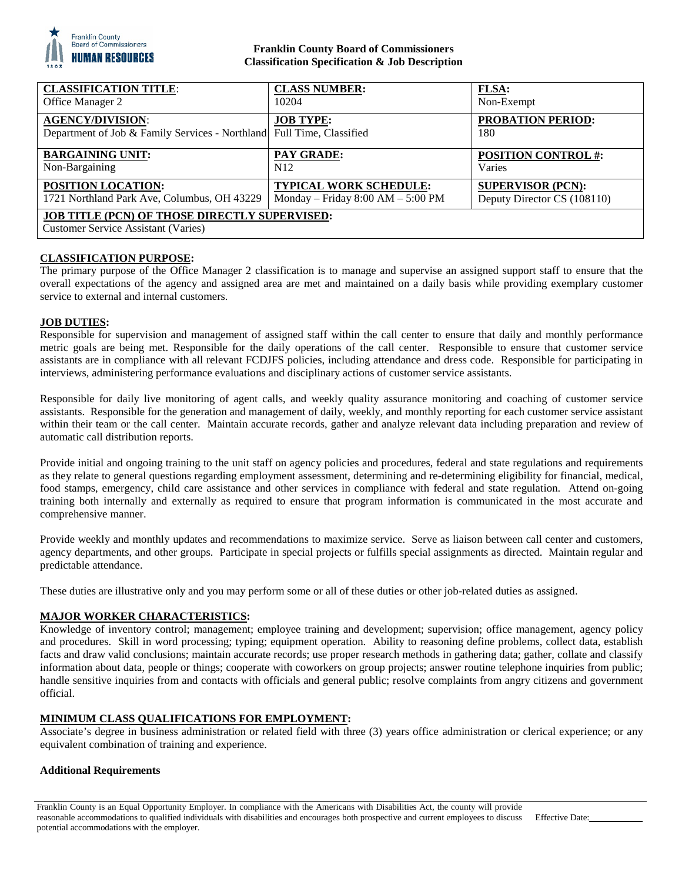

## **Franklin County Board of Commissioners Classification Specification & Job Description**

| <b>CLASSIFICATION TITLE:</b>                                                                       | <b>CLASS NUMBER:</b>                  | <b>FLSA:</b>                    |
|----------------------------------------------------------------------------------------------------|---------------------------------------|---------------------------------|
| Office Manager 2                                                                                   | 10204                                 | Non-Exempt                      |
| <b>AGENCY/DIVISION:</b><br>Department of Job & Family Services - Northland Full Time, Classified   | <b>JOB TYPE:</b>                      | <b>PROBATION PERIOD:</b><br>180 |
| <b>BARGAINING UNIT:</b>                                                                            | <b>PAY GRADE:</b>                     | <b>POSITION CONTROL #:</b>      |
| Non-Bargaining                                                                                     | N <sub>12</sub>                       | Varies                          |
| <b>POSITION LOCATION:</b>                                                                          | <b>TYPICAL WORK SCHEDULE:</b>         | <b>SUPERVISOR (PCN):</b>        |
| 1721 Northland Park Ave, Columbus, OH 43229                                                        | Monday – Friday $8:00$ AM – $5:00$ PM | Deputy Director CS (108110)     |
| <b>JOB TITLE (PCN) OF THOSE DIRECTLY SUPERVISED:</b><br><b>Customer Service Assistant (Varies)</b> |                                       |                                 |

## **CLASSIFICATION PURPOSE:**

The primary purpose of the Office Manager 2 classification is to manage and supervise an assigned support staff to ensure that the overall expectations of the agency and assigned area are met and maintained on a daily basis while providing exemplary customer service to external and internal customers.

## **JOB DUTIES:**

Responsible for supervision and management of assigned staff within the call center to ensure that daily and monthly performance metric goals are being met. Responsible for the daily operations of the call center. Responsible to ensure that customer service assistants are in compliance with all relevant FCDJFS policies, including attendance and dress code. Responsible for participating in interviews, administering performance evaluations and disciplinary actions of customer service assistants.

Responsible for daily live monitoring of agent calls, and weekly quality assurance monitoring and coaching of customer service assistants. Responsible for the generation and management of daily, weekly, and monthly reporting for each customer service assistant within their team or the call center. Maintain accurate records, gather and analyze relevant data including preparation and review of automatic call distribution reports.

Provide initial and ongoing training to the unit staff on agency policies and procedures, federal and state regulations and requirements as they relate to general questions regarding employment assessment, determining and re-determining eligibility for financial, medical, food stamps, emergency, child care assistance and other services in compliance with federal and state regulation. Attend on-going training both internally and externally as required to ensure that program information is communicated in the most accurate and comprehensive manner.

Provide weekly and monthly updates and recommendations to maximize service. Serve as liaison between call center and customers, agency departments, and other groups. Participate in special projects or fulfills special assignments as directed. Maintain regular and predictable attendance.

These duties are illustrative only and you may perform some or all of these duties or other job-related duties as assigned.

#### **MAJOR WORKER CHARACTERISTICS:**

Knowledge of inventory control; management; employee training and development; supervision; office management, agency policy and procedures. Skill in word processing; typing; equipment operation. Ability to reasoning define problems, collect data, establish facts and draw valid conclusions; maintain accurate records; use proper research methods in gathering data; gather, collate and classify information about data, people or things; cooperate with coworkers on group projects; answer routine telephone inquiries from public; handle sensitive inquiries from and contacts with officials and general public; resolve complaints from angry citizens and government official.

## **MINIMUM CLASS QUALIFICATIONS FOR EMPLOYMENT:**

Associate's degree in business administration or related field with three (3) years office administration or clerical experience; or any equivalent combination of training and experience.

#### **Additional Requirements**

Franklin County is an Equal Opportunity Employer. In compliance with the Americans with Disabilities Act, the county will provide reasonable accommodations to qualified individuals with disabilities and encourages both prospective and current employees to discuss potential accommodations with the employer.

Effective Date: